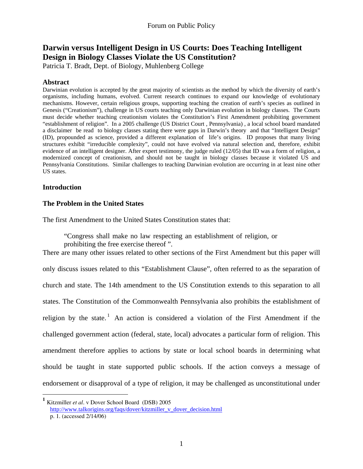## **Darwin versus Intelligent Design in US Courts: Does Teaching Intelligent Design in Biology Classes Violate the US Constitution?**

Patricia T. Bradt, Dept. of Biology, Muhlenberg College

#### **Abstract**

Darwinian evolution is accepted by the great majority of scientists as the method by which the diversity of earth's organisms, including humans, evolved. Current research continues to expand our knowledge of evolutionary mechanisms. However, certain religious groups, supporting teaching the creation of earth's species as outlined in Genesis ("Creationism"), challenge in US courts teaching only Darwinian evolution in biology classes. The Courts must decide whether teaching creationism violates the Constitution's First Amendment prohibiting government "establishment of religion". In a 2005 challenge (US District Court , Pennsylvania) , a local school board mandated a disclaimer be read to biology classes stating there were gaps in Darwin's theory and that "Intelligent Design" (ID), propounded as science, provided a different explanation of life's origins. ID proposes that many living structures exhibit "irreducible complexity", could not have evolved via natural selection and, therefore, exhibit evidence of an intelligent designer. After expert testimony, the judge ruled (12/05) that ID was a form of religion, a modernized concept of creationism, and should not be taught in biology classes because it violated US and Pennsylvania Constitutions. Similar challenges to teaching Darwinian evolution are occurring in at least nine other US states.

#### **Introduction**

#### **The Problem in the United States**

The first Amendment to the United States Constitution states that:

"Congress shall make no law respecting an establishment of religion, or

prohibiting the free exercise thereof ".

There are many other issues related to other sections of the First Amendment but this paper will only discuss issues related to this "Establishment Clause", often referred to as the separation of church and state. The 14th amendment to the US Constitution extends to this separation to all states. The Constitution of the Commonwealth Pennsylvania also prohibits the establishment of religion by the state.<sup>[1](#page-0-0)</sup> An action is considered a violation of the First Amendment if the challenged government action (federal, state, local) advocates a particular form of religion. This amendment therefore applies to actions by state or local school boards in determining what should be taught in state supported public schools. If the action conveys a message of endorsement or disapproval of a type of religion, it may be challenged as unconstitutional under

<span id="page-0-0"></span>**<sup>1</sup>** Kitzmiller *et al*. v Dover School Board (DSB) 2005 [http://www.talkorigins.org/faqs/dover/kitzmiller\\_v\\_dover\\_decision.html](http://www.talkorigins.org/faqs/dover/kitzmiller_v_dover_decision.html)

p. 1. (accessed 2/14/06)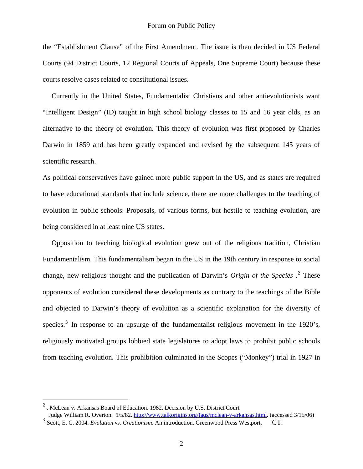the "Establishment Clause" of the First Amendment. The issue is then decided in US Federal Courts (94 District Courts, 12 Regional Courts of Appeals, One Supreme Court) because these courts resolve cases related to constitutional issues.

 Currently in the United States, Fundamentalist Christians and other antievolutionists want "Intelligent Design" (ID) taught in high school biology classes to 15 and 16 year olds, as an alternative to the theory of evolution. This theory of evolution was first proposed by Charles Darwin in 1859 and has been greatly expanded and revised by the subsequent 145 years of scientific research.

As political conservatives have gained more public support in the US, and as states are required to have educational standards that include science, there are more challenges to the teaching of evolution in public schools. Proposals, of various forms, but hostile to teaching evolution, are being considered in at least nine US states.

 Opposition to teaching biological evolution grew out of the religious tradition, Christian Fundamentalism. This fundamentalism began in the US in the 19th century in response to social change, new religious thought and the publication of Darwin's *Origin of the Species* .[2](#page-1-0) These opponents of evolution considered these developments as contrary to the teachings of the Bible and objected to Darwin's theory of evolution as a scientific explanation for the diversity of species.<sup>[3](#page-1-1)</sup> In response to an upsurge of the fundamentalist religious movement in the 1920's, religiously motivated groups lobbied state legislatures to adopt laws to prohibit public schools from teaching evolution. This prohibition culminated in the Scopes ("Monkey") trial in 1927 in

<span id="page-1-0"></span><sup>2</sup> . McLean v. Arkansas Board of Education. 1982. Decision by U.S. District Court Judge William R. Overton. 1/5/82. <http://www.talkorigins.org/faqs/mclean-v-arkansas.html>. (accessed 3/15/06)

<span id="page-1-1"></span><sup>&</sup>lt;sup>3</sup> Scott. E. C. 2004. *Evolution vs. Creationism*. An introduction. Greenwood Press Westport, CT.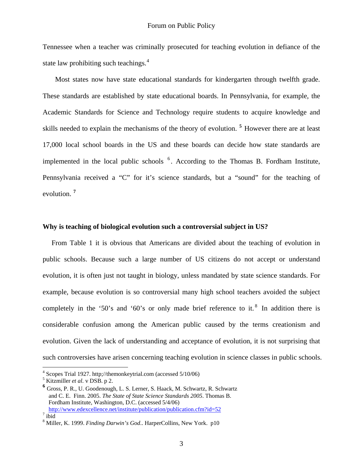Tennessee when a teacher was criminally prosecuted for teaching evolution in defiance of the state law prohibiting such teachings.<sup>4</sup>

 Most states now have state educational standards for kindergarten through twelfth grade. These standards are established by state educational boards. In Pennsylvania, for example, the Academic Standards for Science and Technology require students to acquire knowledge and skills needed to explain the mechanisms of the theory of evolution. **[5](#page-2-1)** However there are at least 17,000 local school boards in the US and these boards can decide how state standards are implemented in the local public schools  $6$ . According to the Thomas B. Fordham Institute, Pennsylvania received a "C" for it's science standards, but a "sound" for the teaching of evolution. **[7](#page-2-3)**

#### **Why is teaching of biological evolution such a controversial subject in US?**

 From Table 1 it is obvious that Americans are divided about the teaching of evolution in public schools. Because such a large number of US citizens do not accept or understand evolution, it is often just not taught in biology, unless mandated by state science standards. For example, because evolution is so controversial many high school teachers avoided the subject completely in the '50's and '60's or only made brief reference to it.<sup>[8](#page-2-4)</sup> In addition there is considerable confusion among the American public caused by the terms creationism and evolution. Given the lack of understanding and acceptance of evolution, it is not surprising that such controversies have arisen concerning teaching evolution in science classes in public schools.

<span id="page-2-0"></span><sup>&</sup>lt;sup>4</sup> Scopes Trial 1927. http://themonkeytrial.com (accessed 5/10/06)  $\frac{5 \text{ Vitmiller at } al \text{ } \text{USSP} \text{ } \text{ } \Omega}$ 

<span id="page-2-1"></span> $<sup>5</sup>$  Kitzmiller *et al.* v DSB. p 2.</sup>

<span id="page-2-2"></span>**<sup>6</sup>** Gross, P. R., U. Goodenough, L. S. Lerner, S. Haack, M. Schwartz, R. Schwartz and C. E. Finn. 2005. *The State of State Science Standards 2005*. Thomas B. Fordham Institute, Washington, D.C. (accessed 5/4/06) <http://www.edexcellence.net/institute/publication/publication.cfm?id=52>

<span id="page-2-3"></span> $\frac{7}{1}$ ibid

<span id="page-2-4"></span><sup>8</sup> Miller, K. 1999. *Finding Darwin's God*.. HarperCollins, New York. p10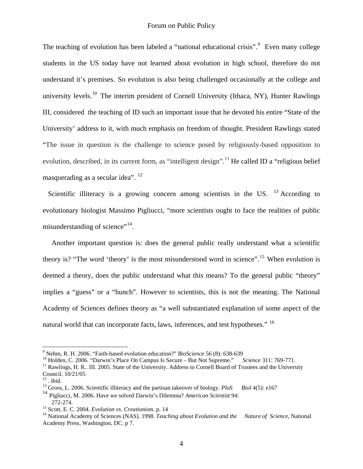The teaching of evolution has been labeled a "national educational crisis". <sup>[9](#page-3-0)</sup> Even many college students in the US today have not learned about evolution in high school, therefore do not understand it's premises. So evolution is also being challenged occasionally at the college and university levels.<sup>[10](#page-3-1)</sup> The interim president of Cornell University (Ithaca, NY), Hunter Rawlings III, considered the teaching of ID such an important issue that he devoted his entire "State of the University' address to it, with much emphasis on freedom of thought. President Rawlings stated "The issue in question is the challenge to science posed by religiously-based opposition to evolution, described, in its current form, as "intelligent design".<sup>[11](#page-3-2)</sup> He called ID a "religious belief" masquerading as a secular idea". <sup>[12](#page-3-3)</sup>

Scientific illiteracy is a growing concern among scientists in the US.  $^{13}$  $^{13}$  $^{13}$  According to evolutionary biologist Massimo Pigliucci, "more scientists ought to face the realities of public misunderstanding of science"<sup>[14](#page-3-5)</sup>.

 Another important question is: does the general public really understand what a scientific theory is? "The word 'theory' is the most misunderstood word in science".[15](#page-3-6) When evolution is deemed a theory, does the public understand what this means? To the general public "theory" implies a "guess" or a "hunch". However to scientists, this is not the meaning. The National Academy of Sciences defines theory as "a well substantiated explanation of some aspect of the natural world that can incorporate facts, laws, inferences, and test hypotheses." <sup>16</sup>

<span id="page-3-0"></span><sup>&</sup>lt;sup>9</sup> Nehm, R. H. 2006. "Faith-based evolution education?" *BioScience* 56 (8): 638-639

<span id="page-3-1"></span><sup>&</sup>lt;sup>10</sup> Holden, C. 2006. "Darwin's Place On Campus Is Secure – But Not Supreme." *Science* 311: 769-771.<br><sup>11</sup> Rawlings, H. R.. III. 2005. State of the University. Address to Cornell Board of Trustees and the University

<span id="page-3-2"></span>Council. 10/21/05

<span id="page-3-3"></span> $12$ . ibid.

<span id="page-3-4"></span><sup>13</sup> Gross, L. 2006. Scientific illiteracy and the partisan takeover of biology. *PloS Biol* 4(5): e167

<span id="page-3-5"></span><sup>14</sup> Pigliucci, M. 2006. Have we solved Darwin's Dilemma? *American Scientist* 94: 272-274.<br><sup>15</sup> Scott, E. C. 2004. *Evolution vs. Creationism.* p. 14

<span id="page-3-6"></span>

<span id="page-3-7"></span><sup>&</sup>lt;sup>16</sup> National Academy of Sciences (NAS). 1998. *Teaching about Evolution and the Nature of Science*, National Academy Press, Washington, DC. p 7.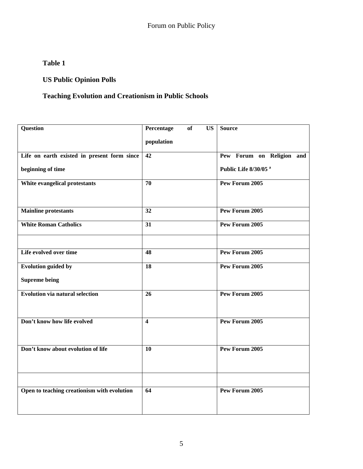## **Table 1**

## **US Public Opinion Polls**

## **Teaching Evolution and Creationism in Public Schools**

| Question                                    | Percentage<br>$\overline{\text{US}}$<br><b>of</b> | <b>Source</b>                    |
|---------------------------------------------|---------------------------------------------------|----------------------------------|
|                                             | population                                        |                                  |
| Life on earth existed in present form since | $\overline{42}$                                   | Pew Forum on Religion and        |
| beginning of time                           |                                                   | Public Life 8/30/05 <sup>a</sup> |
| White evangelical protestants               | 70                                                | Pew Forum 2005                   |
| <b>Mainline protestants</b>                 | 32                                                | Pew Forum 2005                   |
| <b>White Roman Catholics</b>                | 31                                                | Pew Forum 2005                   |
| Life evolved over time                      | 48                                                | Pew Forum 2005                   |
| <b>Evolution guided by</b>                  | 18                                                | Pew Forum 2005                   |
| <b>Supreme being</b>                        |                                                   |                                  |
| <b>Evolution via natural selection</b>      | 26                                                | Pew Forum 2005                   |
| Don't know how life evolved                 | $\overline{\mathbf{4}}$                           | Pew Forum 2005                   |
| Don't know about evolution of life          | 10                                                | Pew Forum 2005                   |
|                                             |                                                   |                                  |
| Open to teaching creationism with evolution | 64                                                | Pew Forum 2005                   |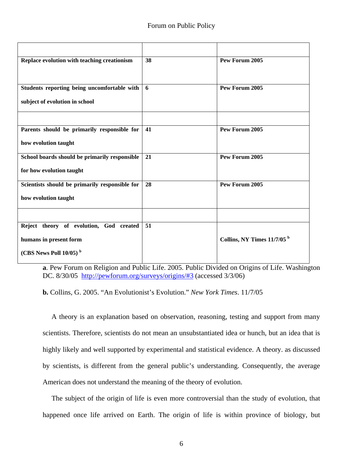| Replace evolution with teaching creationism                                                                | 38 | Pew Forum 2005                         |
|------------------------------------------------------------------------------------------------------------|----|----------------------------------------|
| Students reporting being uncomfortable with<br>subject of evolution in school                              | 6  | <b>Pew Forum 2005</b>                  |
| Parents should be primarily responsible for                                                                | 41 | Pew Forum 2005                         |
| how evolution taught                                                                                       |    |                                        |
| School boards should be primarily responsible<br>for how evolution taught                                  | 21 | Pew Forum 2005                         |
| Scientists should be primarily responsible for<br>how evolution taught                                     | 28 | Pew Forum 2005                         |
|                                                                                                            |    |                                        |
| Reject theory of evolution, God created<br>humans in present form<br>(CBS News Poll $10/05$ ) <sup>b</sup> | 51 | Collins, NY Times 11/7/05 <sup>b</sup> |

**a**. Pew Forum on Religion and Public Life. 2005. Public Divided on Origins of Life. Washington DC. 8/30/05 <http://pewforum.org/surveys/origins/#3> (accessed 3/3/06)

**b.** Collins, G. 2005. "An Evolutionist's Evolution." *New York Times*. 11/7/05

 A theory is an explanation based on observation, reasoning, testing and support from many scientists. Therefore, scientists do not mean an unsubstantiated idea or hunch, but an idea that is highly likely and well supported by experimental and statistical evidence. A theory. as discussed by scientists, is different from the general public's understanding. Consequently, the average American does not understand the meaning of the theory of evolution.

 The subject of the origin of life is even more controversial than the study of evolution, that happened once life arrived on Earth. The origin of life is within province of biology, but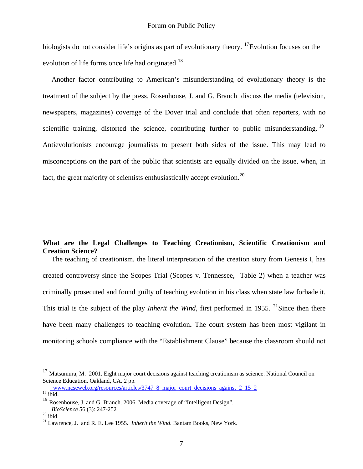biologists do not consider life's origins as part of evolutionary theory. <sup>[17](#page-6-0)</sup>Evolution focuses on the evolution of life forms once life had originated <sup>18</sup>

 Another factor contributing to American's misunderstanding of evolutionary theory is the treatment of the subject by the press. Rosenhouse, J. and G. Branch discuss the media (television, newspapers, magazines) coverage of the Dover trial and conclude that often reporters, with no scientific training, distorted the science, contributing further to public misunderstanding.  $19$ Antievolutionists encourage journalists to present both sides of the issue. This may lead to misconceptions on the part of the public that scientists are equally divided on the issue, when, in fact, the great majority of scientists enthusiastically accept evolution.<sup>20</sup>

#### **What are the Legal Challenges to Teaching Creationism, Scientific Creationism and Creation Science?**

 The teaching of creationism, the literal interpretation of the creation story from Genesis I, has created controversy since the Scopes Trial (Scopes v. Tennessee, Table 2) when a teacher was criminally prosecuted and found guilty of teaching evolution in his class when state law forbade it. This trial is the subject of the play *Inherit the Wind*, first performed in 1955. <sup>[21](#page-6-4)</sup>Since then there have been many challenges to teaching evolution**.** The court system has been most vigilant in monitoring schools compliance with the "Establishment Clause" because the classroom should not

<span id="page-6-0"></span><sup>&</sup>lt;sup>17</sup> Matsumura, M. 2001. Eight major court decisions against teaching creationism as science. National Council on Science Education. Oakland, CA. 2 pp.

[www.ncseweb.org/resources/articles/3747\\_8\\_major\\_court\\_decisions\\_against\\_2\\_15\\_2](http://%20%20www.ncseweb.org/resources/articles/3747_8_major_court_decisions_against_2_15_2) 18 ibid.

<span id="page-6-1"></span>

<span id="page-6-2"></span><sup>&</sup>lt;sup>19</sup> Rosenhouse, J. and G. Branch. 2006. Media coverage of "Intelligent Design". *BioScience* 56 (3): 247-252<br><sup>20</sup> ibid

<span id="page-6-3"></span>

<span id="page-6-4"></span><sup>21</sup> Lawrence, J. and R. E. Lee 1955. *Inherit the Wind*. Bantam Books, New York.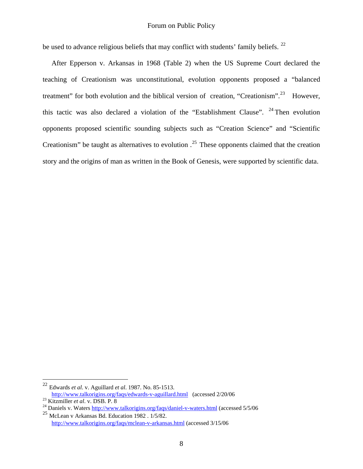be used to advance religious beliefs that may conflict with students' family beliefs. <sup>[22](#page-7-0)</sup>

 After Epperson v. Arkansas in 1968 (Table 2) when the US Supreme Court declared the teaching of Creationism was unconstitutional, evolution opponents proposed a "balanced treatment" for both evolution and the biblical version of creation, "Creationism".<sup>[23](#page-7-1)</sup> However, this tactic was also declared a violation of the "Establishment Clause".  $24$  Then evolution opponents proposed scientific sounding subjects such as "Creation Science" and "Scientific Creationism" be taught as alternatives to evolution  $.25$  $.25$  These opponents claimed that the creation story and the origins of man as written in the Book of Genesis, were supported by scientific data.

<span id="page-7-0"></span><sup>22</sup> Edwards *et al*. v. Aguillard *et al*. 1987. No. 85-1513. <http://www.talkorigins.org/faqs/edwards-v-aguillard.html> (accessed 2/20/06<br><sup>23</sup> Kitzmiller *et al.* v. DSB. P. 8<br><sup>24</sup> Daniels v. Waters <http://www.talkorigins.org/faqs/daniel-v-waters.html>(accessed 5/5/06

<span id="page-7-2"></span><span id="page-7-1"></span>

<span id="page-7-3"></span> $^{25}$  McLean v Arkansas Bd. Education 1982 . 1/5/82. <http://www.talkorigins.org/faqs/mclean-v-arkansas.html>(accessed 3/15/06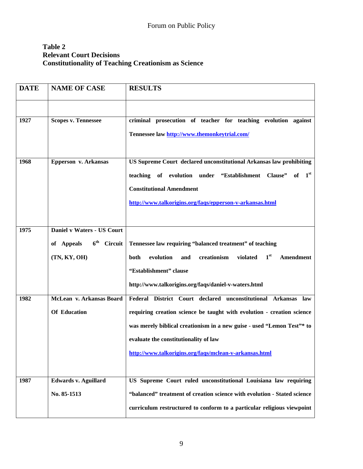## **Table 2 Relevant Court Decisions Constitutionality of Teaching Creationism as Science**

| <b>DATE</b> | <b>NAME OF CASE</b>                                          | <b>RESULTS</b>                                                                      |
|-------------|--------------------------------------------------------------|-------------------------------------------------------------------------------------|
|             |                                                              |                                                                                     |
| 1927        | <b>Scopes v. Tennessee</b>                                   | criminal prosecution of teacher for teaching evolution against                      |
|             |                                                              | Tennessee law http://www.themonkeytrial.com/                                        |
| 1968        | Epperson v. Arkansas                                         | US Supreme Court declared unconstitutional Arkansas law prohibiting                 |
|             |                                                              | 1 <sup>st</sup><br>teaching of evolution under "Establishment Clause"<br>of         |
|             |                                                              | <b>Constitutional Amendment</b>                                                     |
|             |                                                              | http://www.talkorigins.org/faqs/epperson-v-arkansas.html                            |
|             |                                                              |                                                                                     |
| 1975        | Daniel v Waters - US Court                                   |                                                                                     |
|             | $\boldsymbol{6}^{\text{th}}$<br>of Appeals<br><b>Circuit</b> | Tennessee law requiring "balanced treatment" of teaching                            |
|             | (TN, KY, OH)                                                 | 1 <sup>st</sup><br>violated<br>both<br>evolution<br>creationism<br>Amendment<br>and |
|             |                                                              | "Establishment" clause                                                              |
|             |                                                              | http://www.talkorigins.org/faqs/daniel-v-waters.html                                |
| 1982        | McLean v. Arkansas Board                                     | Federal District Court declared unconstitutional Arkansas law                       |
|             | <b>Of Education</b>                                          | requiring creation science be taught with evolution - creation science              |
|             |                                                              | was merely biblical creationism in a new guise - used "Lemon Test"* to              |
|             |                                                              | evaluate the constitutionality of law                                               |
|             |                                                              | http://www.talkorigins.org/faqs/mclean-v-arkansas.html                              |
|             |                                                              |                                                                                     |
| 1987        | <b>Edwards v. Aguillard</b>                                  | US Supreme Court ruled unconstitutional Louisiana law requiring                     |
|             | No. 85-1513                                                  | "balanced" treatment of creation science with evolution - Stated science            |
|             |                                                              | curriculum restructured to conform to a particular religious viewpoint              |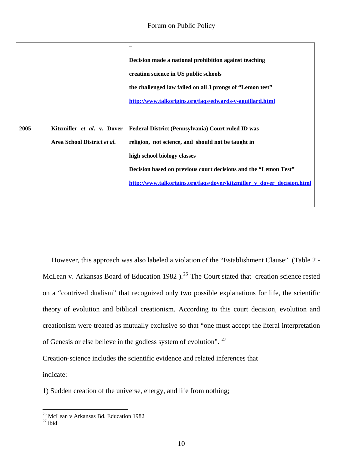|      |                             | Decision made a national prohibition against teaching                  |
|------|-----------------------------|------------------------------------------------------------------------|
|      |                             | creation science in US public schools                                  |
|      |                             | the challenged law failed on all 3 prongs of "Lemon test"              |
|      |                             | http://www.talkorigins.org/faqs/edwards-v-aguillard.html               |
|      |                             |                                                                        |
| 2005 | Kitzmiller et al. v. Dover  | Federal District (Pennsylvania) Court ruled ID was                     |
|      | Area School District et al. | religion, not science, and should not be taught in                     |
|      |                             | high school biology classes                                            |
|      |                             | Decision based on previous court decisions and the "Lemon Test"        |
|      |                             | http://www.talkorigins.org/faqs/dover/kitzmiller v dover decision.html |
|      |                             |                                                                        |

 However, this approach was also labeled a violation of the "Establishment Clause" (Table 2 - McLean v. Arkansas Board of Education 1982 ).<sup>[26](#page-9-0)</sup> The Court stated that creation science rested on a "contrived dualism" that recognized only two possible explanations for life, the scientific theory of evolution and biblical creationism. According to this court decision, evolution and creationism were treated as mutually exclusive so that "one must accept the literal interpretation of Genesis or else believe in the godless system of evolution". [27](#page-9-1)

Creation-science includes the scientific evidence and related inferences that

indicate:

1) Sudden creation of the universe, energy, and life from nothing;

<span id="page-9-0"></span><sup>26</sup> McLean v Arkansas Bd. Education 1982

<span id="page-9-1"></span> $27$  ibid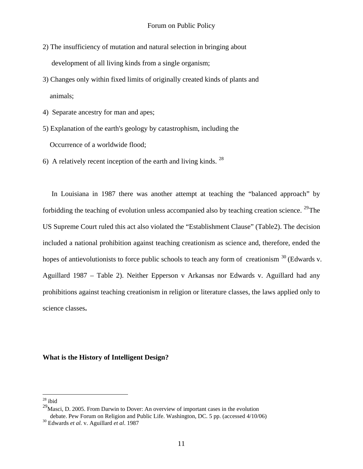- 2) The insufficiency of mutation and natural selection in bringing about development of all living kinds from a single organism;
- 3) Changes only within fixed limits of originally created kinds of plants and animals;
- 4) Separate ancestry for man and apes;
- 5) Explanation of the earth's geology by catastrophism, including the Occurrence of a worldwide flood;
- 6) A relatively recent inception of the earth and living kinds.  $^{28}$  $^{28}$  $^{28}$

 In Louisiana in 1987 there was another attempt at teaching the "balanced approach" by forbidding the teaching of evolution unless accompanied also by teaching creation science. [29](#page-10-1)The US Supreme Court ruled this act also violated the "Establishment Clause" (Table2). The decision included a national prohibition against teaching creationism as science and, therefore, ended the hopes of antievolutionists to force public schools to teach any form of creationism <sup>[30](#page-10-2)</sup> (Edwards v. Aguillard 1987 – Table 2). Neither Epperson v Arkansas nor Edwards v. Aguillard had any prohibitions against teaching creationism in religion or literature classes, the laws applied only to science classes**.** 

#### **What is the History of Intelligent Design?**

<u>.</u>

 $28$  ibid

<span id="page-10-1"></span><span id="page-10-0"></span> $29<sup>29</sup>$ Masci, D. 2005. From Darwin to Dover: An overview of important cases in the evolution debate. Pew Forum on Religion and Public Life. Washington, DC. 5 pp. (accessed 4/10/06) 30 Edwards *et al.* v. Aguillard *et al*. 1987

<span id="page-10-2"></span>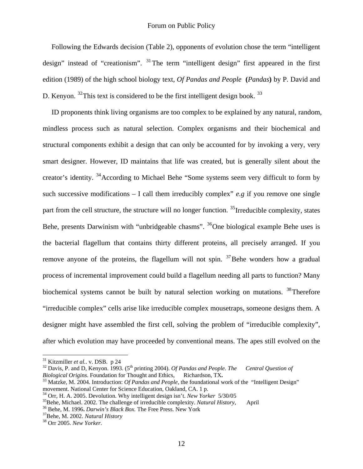Following the Edwards decision (Table 2), opponents of evolution chose the term "intelligent design" instead of "creationism".  $31$ The term "intelligent design" first appeared in the first edition (1989) of the high school biology text, *Of Pandas and People* **(***Pandas***)** by P. David and D. Kenyon.  $32$ This text is considered to be the first intelligent design book.  $33$ 

 ID proponents think living organisms are too complex to be explained by any natural, random, mindless process such as natural selection. Complex organisms and their biochemical and structural components exhibit a design that can only be accounted for by invoking a very, very smart designer. However, ID maintains that life was created, but is generally silent about the creator's identity. [34](#page-11-2)According to Michael Behe "Some systems seem very difficult to form by such successive modifications  $- I$  call them irreducibly complex" *e.g* if you remove one single part from the cell structure, the structure will no longer function.  $35$  Irreducible complexity, states Behe, presents Darwinism with "unbridgeable chasms". <sup>[36](#page-11-4)</sup>One biological example Behe uses is the bacterial flagellum that contains thirty different proteins, all precisely arranged. If you remove anyone of the proteins, the flagellum will not spin.  $37$ Behe wonders how a gradual process of incremental improvement could build a flagellum needing all parts to function? Many biochemical systems cannot be built by natural selection working on mutations. <sup>[38](#page-11-6)</sup>Therefore "irreducible complex" cells arise like irreducible complex mousetraps, someone designs them. A designer might have assembled the first cell, solving the problem of "irreducible complexity", after which evolution may have proceeded by conventional means. The apes still evolved on the

<span id="page-11-1"></span><span id="page-11-0"></span><sup>&</sup>lt;sup>31</sup> Kitzmiller *et al.*. v. DSB. p 24<br><sup>32</sup> Davis, P. and D, Kenyon. 1993. (5<sup>th</sup> printing 2004). *Of Pandas and People. The Central Question of Biological Origins*. Foundation for Thought and Ethics, Richardson, TX.<br><sup>33</sup> Matzke, M. 2004. Introduction: *Of Pandas and People*, the foundational work of the "Intelligent Design"

movement. National Center for Science Education, Oakland, CA. 1 p.

<span id="page-11-3"></span>

<span id="page-11-2"></span><sup>&</sup>lt;sup>34</sup> Orr, H. A. 2005. Devolution. Why intelligent design isn't. *New Yorker* 5/30/05<br><sup>35</sup> Behe, Michael. 2002. The challenge of irreducible complexity. *Natural History*, April<br><sup>36</sup> Behe, M. 1996. *Darwin's Black Box*. Th

<span id="page-11-5"></span><span id="page-11-4"></span>

<span id="page-11-6"></span>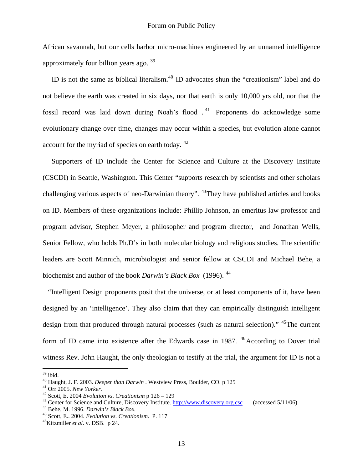African savannah, but our cells harbor micro-machines engineered by an unnamed intelligence approximately four billion years ago. [39](#page-12-0)

 ID is not the same as biblical literalism**.** [40](#page-12-1) ID advocates shun the "creationism" label and do not believe the earth was created in six days, nor that earth is only 10,000 yrs old, nor that the fossil record was laid down during Noah's flood  $1<sup>41</sup>$  $1<sup>41</sup>$  $1<sup>41</sup>$  Proponents do acknowledge some evolutionary change over time, changes may occur within a species, but evolution alone cannot account for the myriad of species on earth today. <sup>[42](#page-12-3)</sup>

 Supporters of ID include the Center for Science and Culture at the Discovery Institute (CSCDI) in Seattle, Washington. This Center "supports research by scientists and other scholars challenging various aspects of neo-Darwinian theory". <sup>[43](#page-12-4)</sup>They have published articles and books on ID. Members of these organizations include: Phillip Johnson, an emeritus law professor and program advisor, Stephen Meyer, a philosopher and program director, and Jonathan Wells, Senior Fellow, who holds Ph.D's in both molecular biology and religious studies. The scientific leaders are Scott Minnich, microbiologist and senior fellow at CSCDI and Michael Behe, a biochemist and author of the book *Darwin's Black Box* (1996). [44](#page-12-5) 

 "Intelligent Design proponents posit that the universe, or at least components of it, have been designed by an 'intelligence'. They also claim that they can empirically distinguish intelligent design from that produced through natural processes (such as natural selection)." <sup>[45](#page-12-6)</sup>The current form of ID came into existence after the Edwards case in 1987.  $46$  According to Dover trial witness Rev. John Haught, the only theologian to testify at the trial, the argument for ID is not a

1

<span id="page-12-0"></span> $39$  ibid.

<span id="page-12-4"></span><span id="page-12-3"></span>

<span id="page-12-2"></span><span id="page-12-1"></span><sup>&</sup>lt;sup>40</sup> Haught, J. F. 2003. *Deeper than Darwin*. Westview Press, Boulder, CO. p 125<br><sup>41</sup> Orr 2005. *New Yorker*.<br><sup>42</sup> Scott, E. 2004 *Evolution vs. Creationism* p 126 – 129<br><sup>43</sup> Center for Science and Culture, Discovery Ins

<span id="page-12-5"></span>

<span id="page-12-7"></span><span id="page-12-6"></span>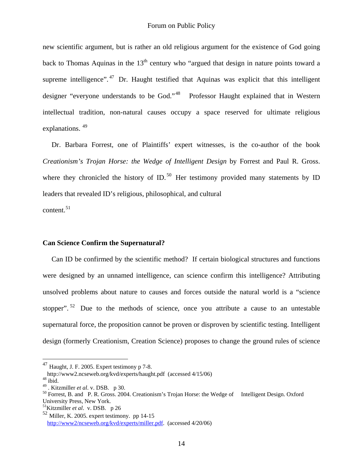new scientific argument, but is rather an old religious argument for the existence of God going back to Thomas Aquinas in the  $13<sup>th</sup>$  century who "argued that design in nature points toward a supreme intelligence".  $47$  Dr. Haught testified that Aquinas was explicit that this intelligent designer "everyone understands to be God."<sup>[48](#page-13-1)</sup> Professor Haught explained that in Western intellectual tradition, non-natural causes occupy a space reserved for ultimate religious explanations. <sup>49</sup>

 Dr. Barbara Forrest, one of Plaintiffs' expert witnesses, is the co-author of the book *Creationism's Trojan Horse: the Wedge of Intelligent Design* by Forrest and Paul R. Gross. where they chronicled the history of ID.<sup>[50](#page-13-3)</sup> Her testimony provided many statements by ID leaders that revealed ID's religious, philosophical, and cultural

content.<sup>[51](#page-13-4)</sup>

1

#### **Can Science Confirm the Supernatural?**

 Can ID be confirmed by the scientific method? If certain biological structures and functions were designed by an unnamed intelligence, can science confirm this intelligence? Attributing unsolved problems about nature to causes and forces outside the natural world is a "science stopper".  $52$  Due to the methods of science, once you attribute a cause to an untestable supernatural force, the proposition cannot be proven or disproven by scientific testing. Intelligent design (formerly Creationism, Creation Science) proposes to change the ground rules of science

 $^{47}$  Haught, J. F. 2005. Expert testimony p 7-8.

<span id="page-13-1"></span><span id="page-13-0"></span>http://www2.ncseweb.org/kvd/experts/haught.pdf (accessed 4/15/06)<br><sup>48</sup> ibid.<br>49 . Kitzmiller *et al.* v. DSB. p 30.

<span id="page-13-3"></span><span id="page-13-2"></span><sup>&</sup>lt;sup>50</sup> Forrest, B. and P. R. Gross. 2004. Creationism's Trojan Horse: the Wedge of Intelligent Design. Oxford University Press, New York.

<span id="page-13-4"></span><sup>51</sup>Kitzmiller *et al*. v. DSB. p 26

<span id="page-13-5"></span> $52$  Miller, K. 2005. expert testimony. pp 14-15 [http://www2/ncseweb.org/kvd/experts/miller.pdf.](http://www2/ncseweb.org/kvd/experts/miller.pdf) (accessed 4/20/06)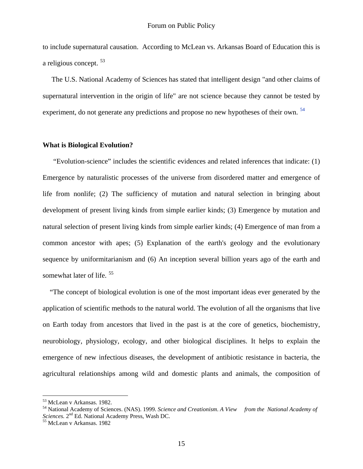to include supernatural causation. According to McLean vs. Arkansas Board of Education this is a religious concept. [53](#page-14-0) 

 The [U.S. National Academy of Sciences](http://en.wikipedia.org/wiki/United_States_National_Academy_of_Sciences) has stated that intelligent design "and other claims of [supernatural](http://en.wikipedia.org/wiki/Supernatural) intervention in the origin of life" are not science because they cannot be tested by [experiment](http://en.wikipedia.org/wiki/Scientific_experiment), do not generate any predictions and propose no new [hypotheses](http://en.wikipedia.org/wiki/Hypothesis) of their own.  $54$ 

#### **What is Biological Evolution?**

 "Evolution-science" includes the scientific evidences and related inferences that indicate: (1) Emergence by naturalistic processes of the universe from disordered matter and emergence of life from nonlife; (2) The sufficiency of mutation and natural selection in bringing about development of present living kinds from simple earlier kinds; (3) Emergence by mutation and natural selection of present living kinds from simple earlier kinds; (4) Emergence of man from a common ancestor with apes; (5) Explanation of the earth's geology and the evolutionary sequence by uniformitarianism and (6) An inception several billion years ago of the earth and somewhat later of life.<sup>[55](#page-14-2)</sup>

 "The concept of biological evolution is one of the most important ideas ever generated by the application of scientific methods to the natural world. The evolution of all the organisms that live on Earth today from ancestors that lived in the past is at the core of genetics, biochemistry, neurobiology, physiology, ecology, and other biological disciplines. It helps to explain the emergence of new infectious diseases, the development of antibiotic resistance in bacteria, the agricultural relationships among wild and domestic plants and animals, the composition of

<sup>53</sup> McLean v Arkansas. 1982.

<span id="page-14-1"></span><span id="page-14-0"></span><sup>54</sup> National Academy of Sciences. (NAS). 1999. *Science and Creationism*. *A View from the National Academy of Sciences.* 2nd Ed. National Academy Press, Wash DC. 55 McLean v Arkansas. 1982

<span id="page-14-2"></span>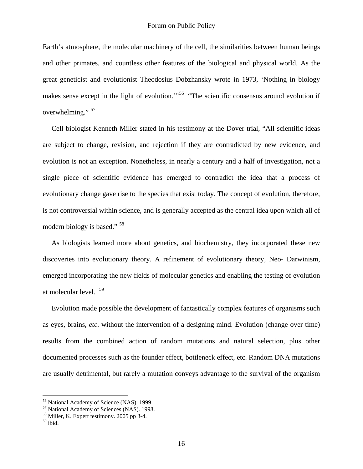Earth's atmosphere, the molecular machinery of the cell, the similarities between human beings and other primates, and countless other features of the biological and physical world. As the great geneticist and evolutionist Theodosius Dobzhansky wrote in 1973, 'Nothing in biology makes sense except in the light of evolution.<sup>"[56](#page-15-0)</sup> "The scientific consensus around evolution if overwhelming."<sup>[57](#page-15-1)</sup>

 Cell biologist Kenneth Miller stated in his testimony at the Dover trial, "All scientific ideas are subject to change, revision, and rejection if they are contradicted by new evidence, and evolution is not an exception. Nonetheless, in nearly a century and a half of investigation, not a single piece of scientific evidence has emerged to contradict the idea that a process of evolutionary change gave rise to the species that exist today. The concept of evolution, therefore, is not controversial within science, and is generally accepted as the central idea upon which all of modern biology is based." [58](#page-15-2)

 As biologists learned more about genetics, and biochemistry, they incorporated these new discoveries into evolutionary theory. A refinement of evolutionary theory, Neo- Darwinism, emerged incorporating the new fields of molecular genetics and enabling the testing of evolution at molecular level. [59](#page-15-3)

 Evolution made possible the development of fantastically complex features of organisms such as eyes, brains, *etc*. without the intervention of a designing mind. Evolution (change over time) results from the combined action of random mutations and natural selection, plus other documented processes such as the founder effect, bottleneck effect, etc. Random DNA mutations are usually detrimental, but rarely a mutation conveys advantage to the survival of the organism

<sup>&</sup>lt;sup>56</sup> National Academy of Science (NAS). 1999

<span id="page-15-1"></span><span id="page-15-0"></span><sup>57</sup> National Academy of Sciences (NAS). 1998.

<span id="page-15-2"></span><sup>58</sup> Miller, K. Expert testimony. 2005 pp 3-4.

<span id="page-15-3"></span> $59$  ibid.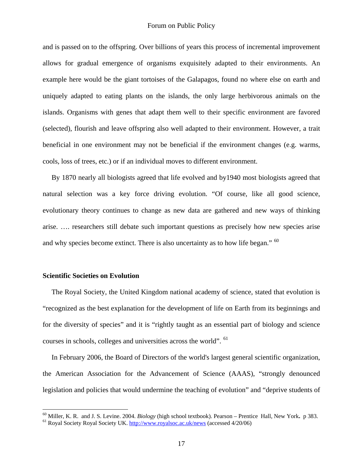and is passed on to the offspring. Over billions of years this process of incremental improvement allows for gradual emergence of organisms exquisitely adapted to their environments. An example here would be the giant tortoises of the Galapagos, found no where else on earth and uniquely adapted to eating plants on the islands, the only large herbivorous animals on the islands. Organisms with genes that adapt them well to their specific environment are favored (selected), flourish and leave offspring also well adapted to their environment. However, a trait beneficial in one environment may not be beneficial if the environment changes (e.g. warms, cools, loss of trees, etc.) or if an individual moves to different environment.

 By 1870 nearly all biologists agreed that life evolved and by1940 most biologists agreed that natural selection was a key force driving evolution. "Of course, like all good science, evolutionary theory continues to change as new data are gathered and new ways of thinking arise. …. researchers still debate such important questions as precisely how new species arise and why species become extinct. There is also uncertainty as to how life began." <sup>[60](#page-16-0)</sup>

#### **Scientific Societies on Evolution**

 $\overline{a}$ 

 The Royal Society, the United Kingdom national academy of science, stated that evolution is "recognized as the best explanation for the development of life on Earth from its beginnings and for the diversity of species" and it is "rightly taught as an essential part of biology and science courses in schools, colleges and universities across the world". <sup>[61](#page-16-1)</sup>

 In February 2006, the Board of Directors of the world's largest general scientific organization, the American Association for the Advancement of Science (AAAS), "strongly denounced legislation and policies that would undermine the teaching of evolution" and "deprive students of

<span id="page-16-1"></span><span id="page-16-0"></span><sup>&</sup>lt;sup>60</sup> Miller, K. R. and J. S. Levine. 2004. *Biology* (high school textbook). Pearson – Prentice Hall, New York. *p* 383. <sup>61</sup> Royal Society Royal Society UK.<http://www.royalsoc.ac.uk/news> (accessed 4/20/06)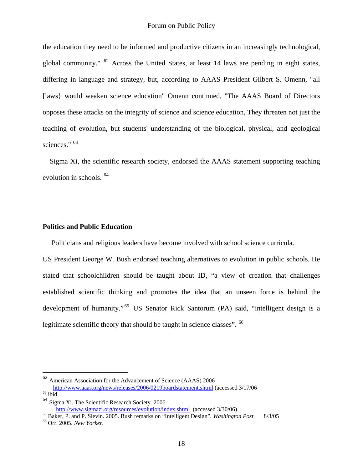the education they need to be informed and productive citizens in an increasingly technological, global community." [62](#page-17-0) Across the United States, at least 14 laws are pending in eight states, differing in language and strategy, but, according to AAAS President Gilbert S. Omenn, "all [laws} would weaken science education" Omenn continued, "The AAAS Board of Directors opposes these attacks on the integrity of science and science education, They threaten not just the teaching of evolution, but students' understanding of the biological, physical, and geological sciences."  $63$ 

 Sigma Xi, the scientific research society, endorsed the AAAS statement supporting teaching evolution in schools. [64](#page-17-2)

#### **Politics and Public Education**

Politicians and religious leaders have become involved with school science curricula.

US President George W. Bush endorsed teaching alternatives to evolution in public schools. He stated that schoolchildren should be taught about ID, "a view of creation that challenges established scientific thinking and promotes the idea that an unseen force is behind the development of humanity."<sup>[65](#page-17-3)</sup> US Senator Rick Santorum (PA) said, "intelligent design is a legitimate scientific theory that should be taught in science classes". <sup>[66](#page-17-4)</sup>

<u>.</u>

<span id="page-17-0"></span> $62$  American Association for the Advancement of Science (AAAS) 2006  $\frac{\text{http://www.aaas.org/news/relcases/2006/0219boardstatement.html}}{\text{ihid}}$  (accessed 3/17/06  $^{63}$  ibid

<span id="page-17-1"></span>

<span id="page-17-2"></span> $^{64}$  Sigma Xi. The Scientific Research Society. 2006<br>http://www.sigmazi.org/resources/evolution/index.shtml (accessed 3/30/06)

<span id="page-17-4"></span><span id="page-17-3"></span><sup>&</sup>lt;sup>65</sup> Baker, P. and P. Slevin. 2005. Bush remarks on "Intelligent Design". *Washington Post* 8/3/05 <sup>66</sup> Orr. 2005. *New Yorker*.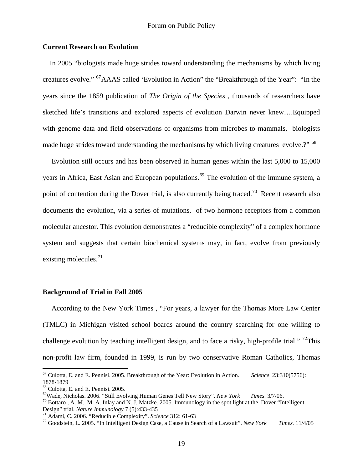#### **Current Research on Evolution**

 In 2005 "biologists made huge strides toward understanding the mechanisms by which living creatures evolve." [67](#page-18-0)AAAS called 'Evolution in Action" the "Breakthrough of the Year": "In the years since the 1859 publication of *The Origin of the Species* , thousands of researchers have sketched life's transitions and explored aspects of evolution Darwin never knew….Equipped with genome data and field observations of organisms from microbes to mammals, biologists made huge strides toward understanding the mechanisms by which living creatures evolve.?" <sup>[68](#page-18-1)</sup>

 Evolution still occurs and has been observed in human genes within the last 5,000 to 15,000 years in Africa, East Asian and European populations.<sup>[69](#page-18-2)</sup> The evolution of the immune system, a point of contention during the Dover trial, is also currently being traced.<sup>[70](#page-18-3)</sup> Recent research also documents the evolution, via a series of mutations, of two hormone receptors from a common molecular ancestor. This evolution demonstrates a "reducible complexity" of a complex hormone system and suggests that certain biochemical systems may, in fact, evolve from previously existing molecules. $71$ 

#### **Background of Trial in Fall 2005**

 According to the New York Times , "For years, a lawyer for the Thomas More Law Center (TMLC) in Michigan visited school boards around the country searching for one willing to challenge evolution by teaching intelligent design, and to face a risky, high-profile trial." <sup>[72](#page-18-5)</sup>This non-profit law firm, founded in 1999, is run by two conservative Roman Catholics, Thomas

<span id="page-18-0"></span><sup>67</sup> Culotta, E. and E. Pennisi. 2005. Breakthrough of the Year: Evolution in Action. *Science* 23:310(5756): 1878-1879

<span id="page-18-1"></span><sup>68</sup> Culotta, E. and E. Pennisi. 2005.

<span id="page-18-3"></span><span id="page-18-2"></span><sup>&</sup>lt;sup>69</sup>Wade, Nicholas. 2006. "Still Evolving Human Genes Tell New Story". *New York Times.* 3/7/06.<br><sup>70</sup> Bottaro , A. M., M. A. Inlay and N. J. Matzke. 2005. Immunology in the spot light at the Dover "Intelligent Design" tri

<span id="page-18-5"></span><span id="page-18-4"></span><sup>&</sup>lt;sup>71</sup> Adami, C. 2006. "Reducible Complexity". Science 312: 61-63<br><sup>72</sup> Goodstein, L. 2005. "In Intelligent Design Case, a Cause in Search of a Lawsuit". New York *Times*. 11/4/05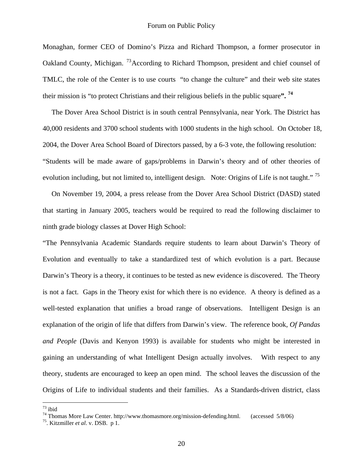Monaghan, former CEO of Domino's Pizza and Richard Thompson, a former prosecutor in Oakland County, Michigan. <sup>[73](#page-19-0)</sup> According to Richard Thompson, president and chief counsel of TMLC, the role of the Center is to use courts "to change the culture" and their web site states their mission is "to protect Christians and their religious beliefs in the public square**". [74](#page-19-1)**

 The Dover Area School District is in south central Pennsylvania, near York. The District has 40,000 residents and 3700 school students with 1000 students in the high school. On October 18, 2004, the Dover Area School Board of Directors passed, by a 6-3 vote, the following resolution: "Students will be made aware of gaps/problems in Darwin's theory and of other theories of evolution including, but not limited to, intelligent design. Note: Origins of Life is not taught."<sup>75</sup>

 On November 19, 2004, a press release from the Dover Area School District (DASD) stated that starting in January 2005, teachers would be required to read the following disclaimer to ninth grade biology classes at Dover High School:

"The Pennsylvania Academic Standards require students to learn about Darwin's Theory of Evolution and eventually to take a standardized test of which evolution is a part. Because Darwin's Theory is a theory, it continues to be tested as new evidence is discovered. The Theory is not a fact. Gaps in the Theory exist for which there is no evidence. A theory is defined as a well-tested explanation that unifies a broad range of observations. Intelligent Design is an explanation of the origin of life that differs from Darwin's view. The reference book, *Of Pandas and People* (Davis and Kenyon 1993) is available for students who might be interested in gaining an understanding of what Intelligent Design actually involves. With respect to any theory, students are encouraged to keep an open mind. The school leaves the discussion of the Origins of Life to individual students and their families. As a Standards-driven district, class

<span id="page-19-0"></span> $^{73}$ ibid

<span id="page-19-1"></span><sup>&</sup>lt;sup>74</sup> Thomas More Law Center. http://www.thomasmore.org/mission-defending.html. (accessed 5/8/06)

<span id="page-19-2"></span><sup>75.</sup> Kitzmiller *et al*. v. DSB. p 1.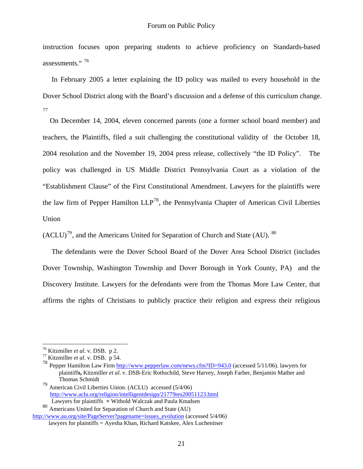instruction focuses upon preparing students to achieve proficiency on Standards-based assessments."<sup>[76](#page-20-0)</sup>

 In February 2005 a letter explaining the ID policy was mailed to every household in the Dover School District along with the Board's discussion and a defense of this curriculum change. [77](#page-20-1) 

 On December 14, 2004, eleven concerned parents (one a former school board member) and teachers, the Plaintiffs, filed a suit challenging the constitutional validity of the October 18, 2004 resolution and the November 19, 2004 press release, collectively "the ID Policy". The policy was challenged in US Middle District Pennsylvania Court as a violation of the "Establishment Clause" of the First Constitutional Amendment. Lawyers for the plaintiffs were the law firm of Pepper Hamilton  $LLP^{78}$ , the Pennsylvania Chapter of American Civil Liberties Union

 $(ACLU)^{79}$ , and the Americans United for Separation of Church and State (AU).  $80$  $80$ 

 The defendants were the Dover School Board of the Dover Area School District (includes Dover Township, Washington Township and Dover Borough in York County, PA) and the Discovery Institute. Lawyers for the defendants were from the Thomas More Law Center, that affirms the rights of Christians to publicly practice their religion and express their religious

<span id="page-20-0"></span> $^{76}$  Kitzmiller *et al.* v. DSB. p 2.

<span id="page-20-1"></span><sup>76</sup> Kitzmiller *et al*. v. DSB. p 2. 77 Kitzmiller *et al*. v. DSB. p 54.

<sup>78</sup> Pepper Hamilton Law Firm<http://www.pepperlaw.com/news.cfm?ID=943.0> (accessed 5/11/06). lawyers for plaintiff**s,** Kitzmiller *et al*. v. DSB-Eric Rothschild, Steve Harvey, Joseph Farber, Benjamin Mather and Thomas Schmidt

<sup>79</sup> American Civil Liberties Union. (ACLU)accessed (5/4/06) <http://www.aclu.org/religion/intelligentdesign/21779res20051123.html> Lawyers for plaintiffs **=** Withold Walczak and Paula Knudsen

<sup>80</sup> Americans United for Separation of Church and State (AU)

<span id="page-20-2"></span>[http://www.au.org/site/PageServer?pagename=issues\\_evolution](http://www.au.org/site/PageServer?pagename=issues_evolution) (accessed 5/4/06) lawyers for plaintiffs = Ayesha Khan, Richard Katskee, Alex Luchenitser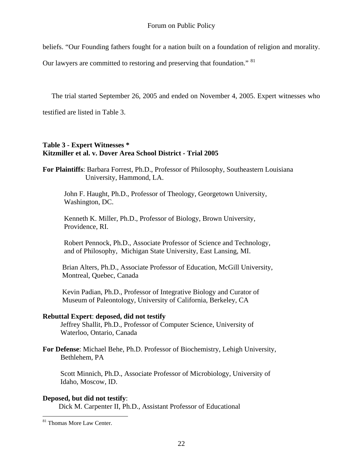beliefs. "Our Founding fathers fought for a nation built on a foundation of religion and morality.

Our lawyers are committed to restoring and preserving that foundation." <sup>81</sup>

The trial started September 26, 2005 and ended on November 4, 2005. Expert witnesses who

testified are listed in Table 3.

#### **Table 3 - Expert Witnesses \* Kitzmiller et al. v. Dover Area School District - Trial 2005**

**For Plaintiffs**: Barbara Forrest, Ph.D., Professor of Philosophy, Southeastern Louisiana University, Hammond, LA.

 John F. Haught, Ph.D., Professor of Theology, Georgetown University, Washington, DC.

 Kenneth K. Miller, Ph.D., Professor of Biology, Brown University, Providence, RI.

 Robert Pennock, Ph.D., Associate Professor of Science and Technology, and of Philosophy, Michigan State University, East Lansing, MI.

 Brian Alters, Ph.D., Associate Professor of Education, McGill University, Montreal, Quebec, Canada

 Kevin Padian, Ph.D., Professor of Integrative Biology and Curator of Museum of Paleontology, University of California, Berkeley, CA

#### **Rebuttal Expert**: **deposed, did not testify**

 Jeffrey Shallit, Ph.D., Professor of Computer Science, University of Waterloo, Ontario, Canada

**For Defense**: Michael Behe, Ph.D. Professor of Biochemistry, Lehigh University, Bethlehem, PA

 Scott Minnich, Ph.D., Associate Professor of Microbiology, University of Idaho, Moscow, ID.

#### **Deposed, but did not testify**:

Dick M. Carpenter II, Ph.D., Assistant Professor of Educational

<span id="page-21-0"></span><sup>&</sup>lt;sup>81</sup> Thomas More Law Center.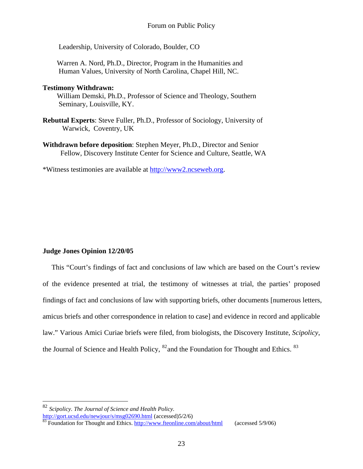Leadership, University of Colorado, Boulder, CO

 Warren A. Nord, Ph.D., Director, Program in the Humanities and Human Values, University of North Carolina, Chapel Hill, NC.

#### **Testimony Withdrawn:**

 William Demski, Ph.D., Professor of Science and Theology, Southern Seminary, Louisville, KY.

- **Rebuttal Experts**: Steve Fuller, Ph.D., Professor of Sociology, University of Warwick, Coventry, UK
- **Withdrawn before deposition**: Stephen Meyer, Ph.D., Director and Senior Fellow, Discovery Institute Center for Science and Culture, Seattle, WA

\*Witness testimonies are available at [http://www2.ncseweb.org.](http://www2.ncseweb.org/)

#### **Judge Jones Opinion 12/20/05**

1

 This "Court's findings of fact and conclusions of law which are based on the Court's review of the evidence presented at trial, the testimony of witnesses at trial, the parties' proposed findings of fact and conclusions of law with supporting briefs, other documents [numerous letters, amicus briefs and other correspondence in relation to case] and evidence in record and applicable law." Various Amici Curiae briefs were filed, from biologists, the Discovery Institute, *Scipolicy*, the Journal of Science and Health Policy,  $^{82}$  $^{82}$  $^{82}$  and the Foundation for Thought and Ethics.  $^{83}$  $^{83}$  $^{83}$ 

<span id="page-22-0"></span><sup>82</sup> *Scipolicy*. *The Journal of Science and Health Policy.* <http://gort.ucsd.edu/newjour/s/msg02690.html> (accessed)5/2/6)<br><sup>[83](http://gort.ucsd.edu/newjour/s/msg02690.html)</sup> Foundation for Thought and Ethics.<http://www.fteonline.com/about/html>(accessed 5/9/06)

<span id="page-22-1"></span>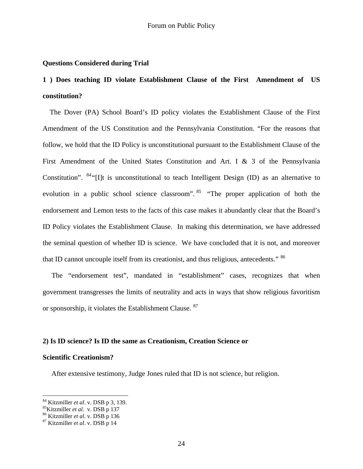#### **Questions Considered during Trial**

## **1 ) Does teaching ID violate Establishment Clause of the First Amendment of US constitution?**

 The Dover (PA) School Board's ID policy violates the Establishment Clause of the First Amendment of the US Constitution and the Pennsylvania Constitution. "For the reasons that follow, we hold that the ID Policy is unconstitutional pursuant to the Establishment Clause of the First Amendment of the United States Constitution and Art. I & 3 of the Pennsylvania Constitution". <sup>[84](#page-23-0)</sup> "[I]t is unconstitutional to teach Intelligent Design (ID) as an alternative to evolution in a public school science classroom". <sup>[85](#page-23-1)</sup> "The proper application of both the endorsement and Lemon tests to the facts of this case makes it abundantly clear that the Board's ID Policy violates the Establishment Clause. In making this determination, we have addressed the seminal question of whether ID is science. We have concluded that it is not, and moreover that ID cannot uncouple itself from its creationist, and thus religious, antecedents." <sup>86</sup>

 The "endorsement test", mandated in "establishment" cases, recognizes that when government transgresses the limits of neutrality and acts in ways that show religious favoritism or sponsorship, it violates the Establishment Clause. [87](#page-23-3) 

#### **2) Is ID science? Is ID the same as Creationism, Creation Science or**

#### **Scientific Creationism?**

 $\overline{a}$ 

After extensive testimony, Judge Jones ruled that ID is not science, but religion.

<span id="page-23-0"></span><sup>&</sup>lt;sup>84</sup> Kitzmiller *et al.* v. DSB p 3, 139.<br><sup>85</sup> Kitzmiller *et al.* v. DSB p 137<br><sup>86</sup> Kitzmiller *et al.* v. DSB p 14<br><sup>87</sup> Kitzmiller *et al.* v. DSB p 14

<span id="page-23-2"></span><span id="page-23-1"></span>

<span id="page-23-3"></span>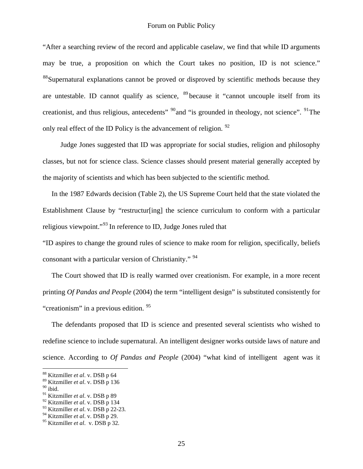"After a searching review of the record and applicable caselaw, we find that while ID arguments may be true, a proposition on which the Court takes no position, ID is not science." <sup>[88](#page-24-0)</sup>Supernatural explanations cannot be proved or disproved by scientific methods because they are untestable. ID cannot qualify as science,  $89$  because it "cannot uncouple itself from its creationist, and thus religious, antecedents<sup>" [90](#page-24-2)</sup> and "is grounded in theology, not science". <sup>[91](#page-24-3)</sup> The only real effect of the ID Policy is the advancement of religion.  $92$ 

 Judge Jones suggested that ID was appropriate for social studies, religion and philosophy classes, but not for science class. Science classes should present material generally accepted by the majority of scientists and which has been subjected to the scientific method.

 In the 1987 Edwards decision (Table 2), the US Supreme Court held that the state violated the Establishment Clause by "restructur[ing] the science curriculum to conform with a particular religious viewpoint."[93](#page-24-5) In reference to ID, Judge Jones ruled that

"ID aspires to change the ground rules of science to make room for religion, specifically, beliefs consonant with a particular version of Christianity." <sup>[94](#page-24-6)</sup>

 The Court showed that ID is really warmed over creationism. For example, in a more recent printing *Of Pandas and People* (2004) the term "intelligent design" is substituted consistently for "creationism" in a previous edition. <sup>[95](#page-24-7)</sup>

 The defendants proposed that ID is science and presented several scientists who wished to redefine science to include supernatural. An intelligent designer works outside laws of nature and science. According to *Of Pandas and People* (2004) "what kind of intelligent agent was it

<span id="page-24-0"></span><sup>88</sup> Kitzmiller *et al*. v. DSB p 64

<span id="page-24-1"></span><sup>89</sup> Kitzmiller *et al*. v. DSB p 136

<span id="page-24-2"></span> $90$  ibid.

<span id="page-24-3"></span><sup>91</sup> Kitzmiller *et al*. v. DSB p 89

<span id="page-24-4"></span><sup>92</sup> Kitzmiller *et al*. v. DSB p 134

<span id="page-24-5"></span><sup>93</sup> Kitzmiller *et al*. v. DSB p 22-23.

<span id="page-24-6"></span><sup>94</sup> Kitzmiller *et al*. v. DSB p 29.

<span id="page-24-7"></span><sup>95</sup> Kitzmiller *et al*. v. DSB p 32.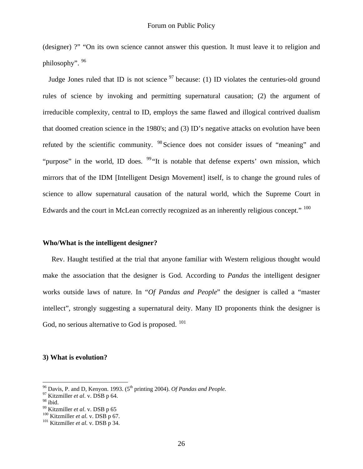(designer) ?" "On its own science cannot answer this question. It must leave it to religion and philosophy". [96](#page-25-0)

Judge Jones ruled that ID is not science  $\frac{97}{9}$  $\frac{97}{9}$  $\frac{97}{9}$  because: (1) ID violates the centuries-old ground rules of science by invoking and permitting supernatural causation; (2) the argument of irreducible complexity, central to ID, employs the same flawed and illogical contrived dualism that doomed creation science in the 1980's; and (3) ID's negative attacks on evolution have been refuted by the scientific community. [98](#page-25-2) Science does not consider issues of "meaning" and "purpose" in the world, ID does.  $99$ "It is notable that defense experts' own mission, which mirrors that of the IDM [Intelligent Design Movement] itself, is to change the ground rules of science to allow supernatural causation of the natural world, which the Supreme Court in Edwards and the court in McLean correctly recognized as an inherently religious concept." <sup>[100](#page-25-4)</sup>

#### **Who/What is the intelligent designer?**

 Rev. Haught testified at the trial that anyone familiar with Western religious thought would make the association that the designer is God. According to *Pandas* the intelligent designer works outside laws of nature. In "*Of Pandas and People*" the designer is called a "master intellect", strongly suggesting a supernatural deity. Many ID proponents think the designer is God, no serious alternative to God is proposed.  $101$ 

#### **3) What is evolution?**

<span id="page-25-0"></span><sup>&</sup>lt;sup>96</sup> Davis, P. and D, Kenyon. 1993. (5<sup>th</sup> printing 2004). *Of Pandas and People.*  $^{97}$  Kitzmiller *et al.* v. DSB p 64.

<span id="page-25-2"></span><span id="page-25-1"></span><sup>&</sup>lt;sup>97</sup> Kitzmiller *et al.* v. DSB p 64.<br><sup>98</sup> ibid.<br><sup>99</sup> Kitzmiller *et al.* v. DSB p 65

<span id="page-25-5"></span>

<span id="page-25-4"></span><span id="page-25-3"></span><sup>&</sup>lt;sup>100</sup> Kitzmiller *et al*. v. DSB p 67.<br><sup>101</sup> Kitzmiller *et al*. v. DSB p 34.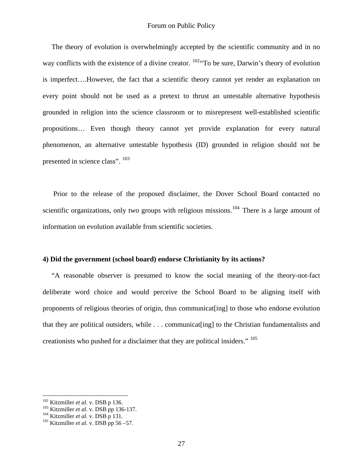The theory of evolution is overwhelmingly accepted by the scientific community and in no way conflicts with the existence of a divine creator.  $^{102}$  $^{102}$  $^{102}$  To be sure, Darwin's theory of evolution is imperfect….However, the fact that a scientific theory cannot yet render an explanation on every point should not be used as a pretext to thrust an untestable alternative hypothesis grounded in religion into the science classroom or to misrepresent well-established scientific propositions… Even though theory cannot yet provide explanation for every natural phenomenon, an alternative untestable hypothesis (ID) grounded in religion should not be presented in science class".  $^{103}$  $^{103}$  $^{103}$ 

 Prior to the release of the proposed disclaimer, the Dover School Board contacted no scientific organizations, only two groups with religious missions.<sup>[104](#page-26-2)</sup> There is a large amount of information on evolution available from scientific societies.

#### **4) Did the government (school board) endorse Christianity by its actions?**

 "A reasonable observer is presumed to know the social meaning of the theory-not-fact deliberate word choice and would perceive the School Board to be aligning itself with proponents of religious theories of origin, thus communicat[ing] to those who endorse evolution that they are political outsiders, while . . . communicat[ing] to the Christian fundamentalists and creationists who pushed for a disclaimer that they are political insiders." [105](#page-26-3)

<span id="page-26-1"></span><span id="page-26-0"></span><sup>&</sup>lt;sup>102</sup> Kitzmiller *et al.* v. DSB p 136.<br><sup>103</sup> Kitzmiller *et al.* v. DSB pp 136-137.<br><sup>104</sup> Kitzmiller *et al.* v. DSB p 56 –57.

<span id="page-26-2"></span>

<span id="page-26-3"></span>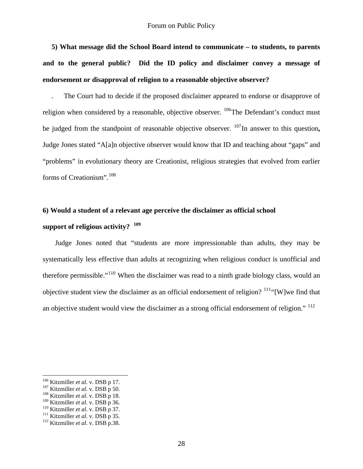**5) What message did the School Board intend to communicate – to students, to parents and to the general public? Did the ID policy and disclaimer convey a message of endorsement or disapproval of religion to a reasonable objective observer?** 

 . The Court had to decide if the proposed disclaimer appeared to endorse or disapprove of religion when considered by a reasonable, objective observer.  $^{106}$  $^{106}$  $^{106}$ The Defendant's conduct must be judged from the standpoint of reasonable objective observer. <sup>[107](#page-27-1)</sup>In answer to this question, Judge Jones stated "A[a]n objective observer would know that ID and teaching about "gaps" and "problems" in evolutionary theory are Creationist, religious strategies that evolved from earlier forms of Creationism".[108](#page-27-2) 

# **6) Would a student of a relevant age perceive the disclaimer as official school**

## **support of religious activity? [109](#page-27-3)**

 Judge Jones noted that "students are more impressionable than adults, they may be systematically less effective than adults at recognizing when religious conduct is unofficial and therefore permissible."[110](#page-27-4) When the disclaimer was read to a ninth grade biology class, would an objective student view the disclaimer as an official endorsement of religion?  $111$ "[W]we find that an objective student would view the disclaimer as a strong official endorsement of religion." <sup>112</sup>

<span id="page-27-0"></span><sup>&</sup>lt;sup>106</sup> Kitzmiller *et al*. v. DSB p 17.<br><sup>107</sup> Kitzmiller *et al.* v. DSB p 50.<br><sup>108</sup> Kitzmiller *et al.* v. DSB p 18.

<span id="page-27-1"></span>

<span id="page-27-4"></span><span id="page-27-3"></span><span id="page-27-2"></span><sup>&</sup>lt;sup>109</sup> Kitzmiller *et al.* v. DSB p 36.<br><sup>110</sup> Kitzmiller *et al.* v. DSB p 37.<br><sup>111</sup> Kitzmiller *et al.* v. DSB p 38.<br><sup>112</sup> Kitzmiller *et al.* v. DSB p.38.

<span id="page-27-5"></span>

<span id="page-27-6"></span>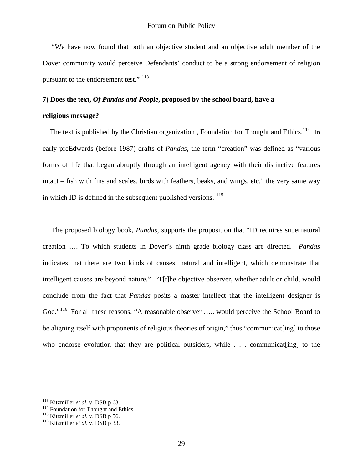"We have now found that both an objective student and an objective adult member of the Dover community would perceive Defendants' conduct to be a strong endorsement of religion pursuant to the endorsement test."<sup>[113](#page-28-0)</sup>

#### **7) Does the text,** *Of Pandas and People***, proposed by the school board, have a**

#### **religious message?**

The text is published by the Christian organization, Foundation for Thought and Ethics.<sup>[114](#page-28-1)</sup> In early preEdwards (before 1987) drafts of *Pandas*, the term "creation" was defined as "various forms of life that began abruptly through an intelligent agency with their distinctive features intact – fish with fins and scales, birds with feathers, beaks, and wings, etc," the very same way in which ID is defined in the subsequent published versions. [115](#page-28-2)

 The proposed biology book, *Pandas*, supports the proposition that "ID requires supernatural creation …. To which students in Dover's ninth grade biology class are directed. *Pandas* indicates that there are two kinds of causes, natural and intelligent, which demonstrate that intelligent causes are beyond nature." "T[t]he objective observer, whether adult or child, would conclude from the fact that *Pandas* posits a master intellect that the intelligent designer is God."<sup>[116](#page-28-3)</sup> For all these reasons, "A reasonable observer ..... would perceive the School Board to be aligning itself with proponents of religious theories of origin," thus "communicat[ing] to those who endorse evolution that they are political outsiders, while . . . communicat [ing] to the

<span id="page-28-1"></span><span id="page-28-0"></span><sup>&</sup>lt;sup>113</sup> Kitzmiller *et al.* v. DSB p 63.<br><sup>114</sup> Foundation for Thought and Ethics.<br><sup>115</sup> Kitzmiller *et al.* v. DSB p 56.<br><sup>116</sup> Kitzmiller *et al.* v. DSB p 33.

<span id="page-28-3"></span><span id="page-28-2"></span>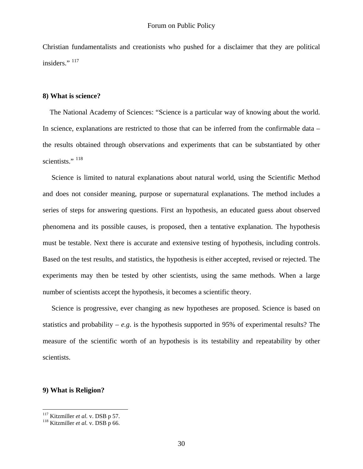Christian fundamentalists and creationists who pushed for a disclaimer that they are political insiders." <sup>[117](#page-29-0)</sup>

#### **8) What is science?**

 The National Academy of Sciences: "Science is a particular way of knowing about the world. In science, explanations are restricted to those that can be inferred from the confirmable data – the results obtained through observations and experiments that can be substantiated by other scientists."<sup>[118](#page-29-1)</sup>

 Science is limited to natural explanations about natural world, using the Scientific Method and does not consider meaning, purpose or supernatural explanations. The method includes a series of steps for answering questions. First an hypothesis, an educated guess about observed phenomena and its possible causes, is proposed, then a tentative explanation. The hypothesis must be testable. Next there is accurate and extensive testing of hypothesis, including controls. Based on the test results, and statistics, the hypothesis is either accepted, revised or rejected. The experiments may then be tested by other scientists, using the same methods. When a large number of scientists accept the hypothesis, it becomes a scientific theory.

 Science is progressive, ever changing as new hypotheses are proposed. Science is based on statistics and probability –  $e.g.$  is the hypothesis supported in 95% of experimental results? The measure of the scientific worth of an hypothesis is its testability and repeatability by other scientists.

#### **9) What is Religion?**

<span id="page-29-0"></span> $117$  Kitzmiller et al. v. DSB p 57.

<span id="page-29-1"></span><sup>&</sup>lt;sup>118</sup> Kitzmiller *et al.* v. DSB p 66.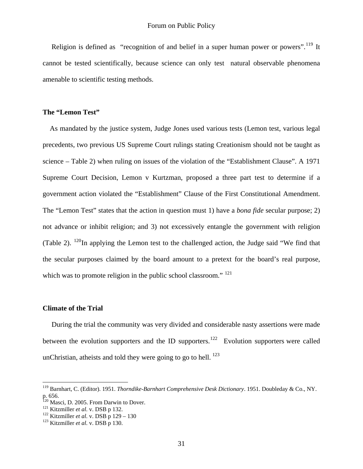Religion is defined as "recognition of and belief in a super human power or powers".<sup>[119](#page-30-0)</sup> It cannot be tested scientifically, because science can only test natural observable phenomena amenable to scientific testing methods.

#### **The "Lemon Test"**

 As mandated by the justice system, Judge Jones used various tests (Lemon test, various legal precedents, two previous US Supreme Court rulings stating Creationism should not be taught as science – Table 2) when ruling on issues of the violation of the "Establishment Clause". A 1971 Supreme Court Decision, Lemon v Kurtzman, proposed a three part test to determine if a government action violated the "Establishment" Clause of the First Constitutional Amendment. The "Lemon Test" states that the action in question must 1) have a *bona fide* secular purpose; 2) not advance or inhibit religion; and 3) not excessively entangle the government with religion (Table 2).  $^{120}$  $^{120}$  $^{120}$ In applying the Lemon test to the challenged action, the Judge said "We find that the secular purposes claimed by the board amount to a pretext for the board's real purpose, which was to promote religion in the public school classroom." <sup>[121](#page-30-2)</sup>

#### **Climate of the Trial**

 $\overline{a}$ 

 During the trial the community was very divided and considerable nasty assertions were made between the evolution supporters and the ID supporters.<sup>[122](#page-30-3)</sup> Evolution supporters were called unChristian, atheists and told they were going to go to hell.  $^{123}$  $^{123}$  $^{123}$ 

<span id="page-30-0"></span><sup>119</sup> Barnhart, C. (Editor). 1951. *Thorndike-Barnhart Comprehensive Desk Dictionary*. 1951. Doubleday & Co., NY. p. 656.

<span id="page-30-1"></span><sup>&</sup>lt;sup>120</sup> Masci, D. 2005. From Darwin to Dover.<br><sup>121</sup> Kitzmiller *et al*. v. DSB p 132.<br><sup>122</sup> Kitzmiller *et al*. v. DSB p 129 – 130<br><sup>123</sup> Kitzmiller *et al*. v. DSB p 130.

<span id="page-30-2"></span>

<span id="page-30-3"></span>

<span id="page-30-4"></span>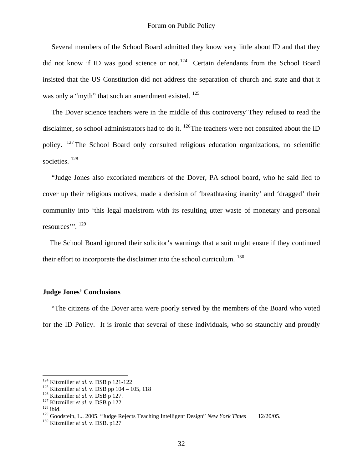Several members of the School Board admitted they know very little about ID and that they did not know if ID was good science or not.<sup>[124](#page-31-0)</sup> Certain defendants from the School Board insisted that the US Constitution did not address the separation of church and state and that it was only a "myth" that such an amendment existed. <sup>125</sup>

 The Dover science teachers were in the middle of this controversy. They refused to read the disclaimer, so school administrators had to do it. <sup>[126](#page-31-2)</sup>The teachers were not consulted about the ID policy. [127](#page-31-3)The School Board only consulted religious education organizations, no scientific societies.<sup>[128](#page-31-4)</sup>

 "Judge Jones also excoriated members of the Dover, PA school board, who he said lied to cover up their religious motives, made a decision of 'breathtaking inanity' and 'dragged' their community into 'this legal maelstrom with its resulting utter waste of monetary and personal resources'". <sup>[129](#page-31-5)</sup>

 The School Board ignored their solicitor's warnings that a suit might ensue if they continued their effort to incorporate the disclaimer into the school curriculum. <sup>[130](#page-31-6)</sup>

#### **Judge Jones' Conclusions**

 "The citizens of the Dover area were poorly served by the members of the Board who voted for the ID Policy. It is ironic that several of these individuals, who so staunchly and proudly

<span id="page-31-0"></span><sup>&</sup>lt;sup>124</sup> Kitzmiller et al. v. DSB p 121-122

<span id="page-31-2"></span><span id="page-31-1"></span><sup>&</sup>lt;sup>125</sup> Kitzmiller *et al.* v. DSB pp 104 – 105, 118<br><sup>126</sup> Kitzmiller *et al.* v. DSB p 127.<br><sup>127</sup> Kitzmiller *et al.* v. DSB p 122.<br><sup>128</sup> ibid.

<span id="page-31-3"></span>

<span id="page-31-4"></span>

<span id="page-31-5"></span><sup>129</sup> Goodstein, L.. 2005. "Judge Rejects Teaching Intelligent Design" *New York Times* 12/20/05. 130 Kitzmiller *et al*. v. DSB. p127

<span id="page-31-6"></span>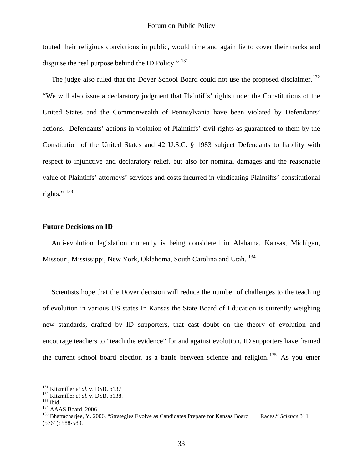touted their religious convictions in public, would time and again lie to cover their tracks and disguise the real purpose behind the ID Policy." <sup>131</sup>

The judge also ruled that the Dover School Board could not use the proposed disclaimer.<sup>132</sup> "We will also issue a declaratory judgment that Plaintiffs' rights under the Constitutions of the United States and the Commonwealth of Pennsylvania have been violated by Defendants' actions. Defendants' actions in violation of Plaintiffs' civil rights as guaranteed to them by the Constitution of the United States and 42 U.S.C. § 1983 subject Defendants to liability with respect to injunctive and declaratory relief, but also for nominal damages and the reasonable value of Plaintiffs' attorneys' services and costs incurred in vindicating Plaintiffs' constitutional rights." $133$ 

#### **Future Decisions on ID**

 Anti-evolution legislation currently is being considered in Alabama, Kansas, Michigan, Missouri, Mississippi, New York, Oklahoma, South Carolina and Utah. [134](#page-32-3)

 Scientists hope that the Dover decision will reduce the number of challenges to the teaching of evolution in various US states In Kansas the State Board of Education is currently weighing new standards, drafted by ID supporters, that cast doubt on the theory of evolution and encourage teachers to "teach the evidence" for and against evolution. ID supporters have framed the current school board election as a battle between science and religion.<sup>[135](#page-32-4)</sup> As you enter

<span id="page-32-1"></span>

<span id="page-32-2"></span>

<span id="page-32-4"></span><span id="page-32-3"></span>

<span id="page-32-0"></span><sup>&</sup>lt;sup>131</sup> Kitzmiller *et al.* v. DSB. p137<br>
<sup>132</sup> Kitzmiller *et al.* v. DSB. p138.<br>
<sup>133</sup> ibid.<br>
<sup>134</sup> AAAS Board. 2006. "Strategies Evolve as Candidates Prepare for Kansas Board Races." Science 311 (5761): 588-589.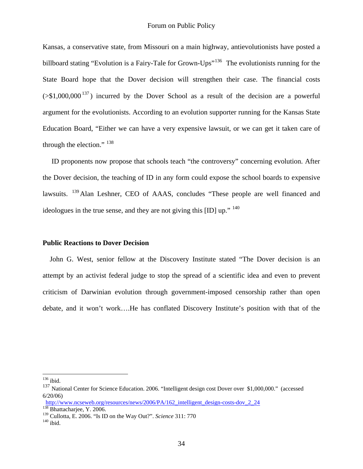Kansas, a conservative state, from Missouri on a main highway, antievolutionists have posted a billboard stating "Evolution is a Fairy-Tale for Grown-Ups"<sup>[136](#page-33-0)</sup> The evolutionists running for the State Board hope that the Dover decision will strengthen their case. The financial costs  $(51,000,000^{137})$  $(51,000,000^{137})$  $(51,000,000^{137})$  incurred by the Dover School as a result of the decision are a powerful argument for the evolutionists. According to an evolution supporter running for the Kansas State Education Board, "Either we can have a very expensive lawsuit, or we can get it taken care of through the election."  $138$ 

 ID proponents now propose that schools teach "the controversy" concerning evolution. After the Dover decision, the teaching of ID in any form could expose the school boards to expensive lawsuits. <sup>[139](#page-33-3)</sup> Alan Leshner, CEO of AAAS, concludes "These people are well financed and ideologues in the true sense, and they are not giving this [ID] up." <sup>[140](#page-33-4)</sup>

#### **Public Reactions to Dover Decision**

 John G. West, senior fellow at the Discovery Institute stated "The Dover decision is an attempt by an activist federal judge to stop the spread of a scientific idea and even to prevent criticism of Darwinian evolution through government-imposed censorship rather than open debate, and it won't work….He has conflated Discovery Institute's position with that of the

 $136$  ibid.

<span id="page-33-1"></span><span id="page-33-0"></span><sup>137</sup> National Center for Science Education. 2006. "Intelligent design cost Dover over \$1,000,000." (accessed 6/20/06)

<span id="page-33-2"></span>[http://www.ncseweb.org/resources/news/2006/PA/162\\_intelligent\\_design-costs-dov\\_2\\_24](http://www.ncseweb.org/resources/news/2006/PA/162_intelligent_design-costs-dov_2_24)  $^{138}_{138}$  Bhattacharjee, Y. 2006.

<span id="page-33-4"></span><span id="page-33-3"></span><sup>&</sup>lt;sup>139</sup> Cullotta, E. 2006. "Is ID on the Way Out?". *Science* 311: 770<sup>140</sup> ibid.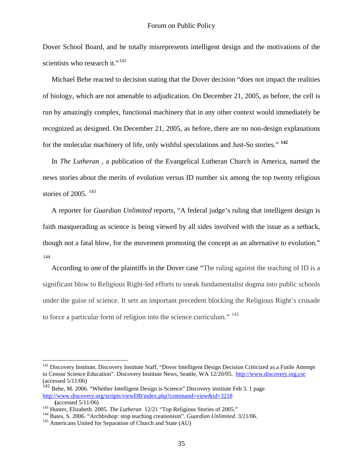Dover School Board, and he totally misrepresents intelligent design and the motivations of the scientists who research it."<sup>[141](#page-34-0)</sup>

 Michael Behe reacted to decision stating that the Dover decision "does not impact the realities of biology, which are not amenable to adjudication. On December 21, 2005, as before, the cell is run by amazingly complex, functional machinery that in any other context would immediately be recognized as designed. On December 21, 2005, as before, there are no non-design explanations for the molecular machinery of life, only wishful speculations and Just-So stories." **[142](#page-34-1)**

 In *The Lutheran* , a publication of the Evangelical Lutheran Church in America, named the news stories about the merits of evolution versus ID number six among the top twenty religious stories of 2005.  $^{143}$  $^{143}$  $^{143}$ 

 A reporter for *Guardian Unlimited* reports, "A federal judge's ruling that intelligent design is faith masquerading as science is being viewed by all sides involved with the issue as a setback, though not a fatal blow, for the movement promoting the concept as an alternative to evolution." [144](#page-34-3)

 According to one of the plaintiffs in the Dover case "The ruling against the teaching of ID is a significant blow to Religious Right-led efforts to sneak fundamentalist dogma into public schools under the guise of science. It sets an important precedent blocking the Religious Right's crusade to force a particular form of religion into the science curriculum." <sup>[145](#page-34-4)</sup>

<span id="page-34-0"></span><sup>&</sup>lt;sup>141</sup> Discovery Institute, Discovery Institute Staff, "Dover Intelligent Design Decision Criticized as a Futile Attempt to Censor Science Education". Discovery Institute News, Seattle, WA 12/20/05. [http://www.discovery.org.csc](http://www.discovery.org.csc/) (accessed 5/11/06)

<span id="page-34-1"></span><sup>&</sup>lt;sup>142</sup> Behe, M. 2006. "Whether Intelligent Design is Science" Discovery institute Feb 3. 1 page <http://www.discovery.org/scripts/viewDB/index.php?command=view&id=3218>

<span id="page-34-3"></span>

<span id="page-34-2"></span><sup>(</sup>accessed 5/11/06)<br>
<sup>143</sup> Hunter, Elizabeth. 2005. *The Lutheran* 12/21 "Top Religious Stories of 2005."<br>
<sup>144</sup> Bates, S. 2006. "Archbishop: stop teaching creationism". *Guardian Unlimited*. 3/21/06.<br>
<sup>145</sup> Americans Unit

<span id="page-34-4"></span>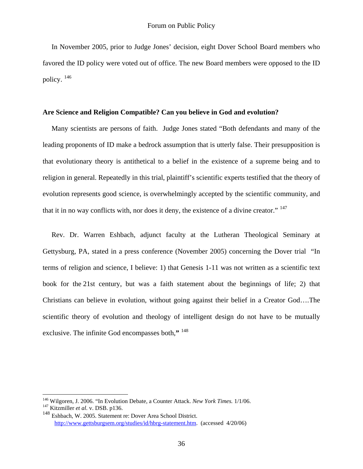In November 2005, prior to Judge Jones' decision, eight Dover School Board members who favored the ID policy were voted out of office. The new Board members were opposed to the ID policy. [146](#page-35-0)

#### **Are Science and Religion Compatible? Can you believe in God and evolution?**

 Many scientists are persons of faith. Judge Jones stated "Both defendants and many of the leading proponents of ID make a bedrock assumption that is utterly false. Their presupposition is that evolutionary theory is antithetical to a belief in the existence of a supreme being and to religion in general. Repeatedly in this trial, plaintiff's scientific experts testified that the theory of evolution represents good science, is overwhelmingly accepted by the scientific community, and that it in no way conflicts with, nor does it deny, the existence of a divine creator." [147](#page-35-1) 

 Rev. Dr. Warren Eshbach, adjunct faculty at the Lutheran Theological Seminary at Gettysburg, PA, stated in a press conference (November 2005) concerning the Dover trial "In terms of religion and science, I believe: 1) that Genesis 1-11 was not written as a scientific text book for the 21st century, but was a faith statement about the beginnings of life; 2) that Christians can believe in evolution, without going against their belief in a Creator God….The scientific theory of evolution and theology of intelligent design do not have to be mutually exclusive. The infinite God encompasses both,**"** [148](#page-35-2)

<span id="page-35-1"></span><span id="page-35-0"></span><sup>146</sup> Wilgoren, J. 2006. "In Evolution Debate, a Counter Attack. *New York Times.* 1/1/06. 147 Kitzmiller *et al*. v. DSB. p136.

<span id="page-35-2"></span><sup>148</sup> Eshbach, W. 2005. Statement re: Dover Area School District. <http://www.gettsburgsem.org/studies/id/hbrg-statement.htm>. (accessed 4/20/06)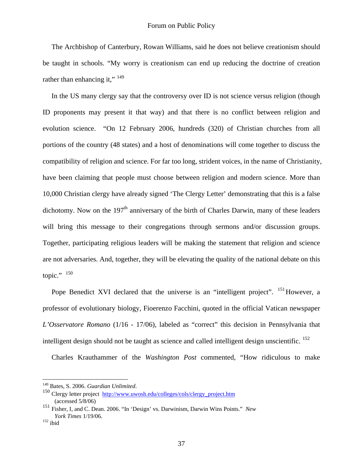The Archbishop of Canterbury, Rowan Williams, said he does not believe creationism should be taught in schools. "My worry is creationism can end up reducing the doctrine of creation rather than enhancing it."  $^{149}$  $^{149}$  $^{149}$ 

 In the US many clergy say that the controversy over ID is not science versus religion (though ID proponents may present it that way) and that there is no conflict between religion and evolution science. "On 12 February 2006, hundreds (320) of Christian churches from all portions of the country (48 states) and a host of denominations will come together to discuss the compatibility of religion and science. For far too long, strident voices, in the name of Christianity, have been claiming that people must choose between religion and modern science. More than 10,000 Christian clergy have already signed 'The Clergy Letter' demonstrating that this is a false dichotomy. Now on the  $197<sup>th</sup>$  anniversary of the birth of Charles Darwin, many of these leaders will bring this message to their congregations through sermons and/or discussion groups. Together, participating religious leaders will be making the statement that religion and science are not adversaries. And, together, they will be elevating the quality of the national debate on this topic." $150$ 

Pope Benedict XVI declared that the universe is an "intelligent project". <sup>[151](#page-36-2)</sup>However, a professor of evolutionary biology, Fioerenzo Facchini, quoted in the official Vatican newspaper *L'Osservatore Romano* (1/16 - 17/06), labeled as "correct" this decision in Pennsylvania that intelligent design should not be taught as science and called intelligent design unscientific.  $152$ 

Charles Krauthammer of the *Washington Post* commented, "How ridiculous to make

<span id="page-36-0"></span><sup>&</sup>lt;sup>149</sup> Bates, S. 2006. Guardian Unlimited.

<span id="page-36-1"></span><sup>&</sup>lt;sup>150</sup> Clergy letter project http://www.uwosh.edu/colleges/cols/clergy project.htm (accessed 5/8/06)

<span id="page-36-2"></span><sup>151</sup> Fisher, I, and C. Dean. 2006. "In 'Design' vs. Darwinism, Darwin Wins Points." *New York Times* 1/19/06. 152 ibid

<span id="page-36-3"></span>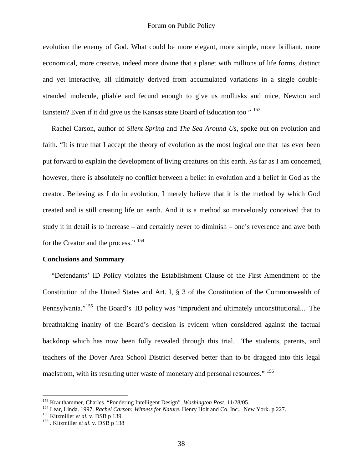evolution the enemy of God. What could be more elegant, more simple, more brilliant, more economical, more creative, indeed more divine that a planet with millions of life forms, distinct and yet interactive, all ultimately derived from accumulated variations in a single doublestranded molecule, pliable and fecund enough to give us mollusks and mice, Newton and Einstein? Even if it did give us the Kansas state Board of Education too "<sup>[153](#page-37-0)</sup>

 Rachel Carson, author of *Silent Spring* and *The Sea Around Us,* spoke out on evolution and faith. "It is true that I accept the theory of evolution as the most logical one that has ever been put forward to explain the development of living creatures on this earth. As far as I am concerned, however, there is absolutely no conflict between a belief in evolution and a belief in God as the creator. Believing as I do in evolution, I merely believe that it is the method by which God created and is still creating life on earth. And it is a method so marvelously conceived that to study it in detail is to increase – and certainly never to diminish – one's reverence and awe both for the Creator and the process." [154](#page-37-1)

#### **Conclusions and Summary**

 "Defendants' ID Policy violates the Establishment Clause of the First Amendment of the Constitution of the United States and Art. I, § 3 of the Constitution of the Commonwealth of Pennsylvania."<sup>[155](#page-37-2)</sup> The Board's ID policy was "imprudent and ultimately unconstitutional... The breathtaking inanity of the Board's decision is evident when considered against the factual backdrop which has now been fully revealed through this trial. The students, parents, and teachers of the Dover Area School District deserved better than to be dragged into this legal maelstrom, with its resulting utter waste of monetary and personal resources." <sup>[156](#page-37-3)</sup>

<span id="page-37-1"></span><span id="page-37-0"></span><sup>&</sup>lt;sup>153</sup> Krauthammer, Charles. "Pondering Intelligent Design". *Washington Post.* 11/28/05.<br><sup>154</sup> Lear, Linda. 1997. *Rachel Carson: Witness for Nature*. Henry Holt and Co. Inc., New York. p 227.<br><sup>155</sup> Kitzmiller *et al.* v.

<span id="page-37-2"></span>

<span id="page-37-3"></span>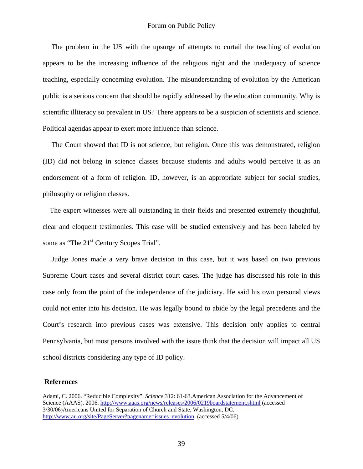The problem in the US with the upsurge of attempts to curtail the teaching of evolution appears to be the increasing influence of the religious right and the inadequacy of science teaching, especially concerning evolution. The misunderstanding of evolution by the American public is a serious concern that should be rapidly addressed by the education community. Why is scientific illiteracy so prevalent in US? There appears to be a suspicion of scientists and science. Political agendas appear to exert more influence than science.

 The Court showed that ID is not science, but religion. Once this was demonstrated, religion (ID) did not belong in science classes because students and adults would perceive it as an endorsement of a form of religion. ID, however, is an appropriate subject for social studies, philosophy or religion classes.

 The expert witnesses were all outstanding in their fields and presented extremely thoughtful, clear and eloquent testimonies. This case will be studied extensively and has been labeled by some as "The 21<sup>st</sup> Century Scopes Trial".

 Judge Jones made a very brave decision in this case, but it was based on two previous Supreme Court cases and several district court cases. The judge has discussed his role in this case only from the point of the independence of the judiciary. He said his own personal views could not enter into his decision. He was legally bound to abide by the legal precedents and the Court's research into previous cases was extensive. This decision only applies to central Pennsylvania, but most persons involved with the issue think that the decision will impact all US school districts considering any type of ID policy.

#### **References**

Adami, C. 2006. "Reducible Complexity". *Science* 312: 61-63.American Association for the Advancement of Science (AAAS). 2006.<http://www.aaas.org/news/releases/2006/0219boardstatement.shtml>(accessed 3/30/06)Americans United for Separation of Church and State, Washington, DC. [http://www.au.org/site/PageServer?pagename=issues\\_evolution](http://www.au.org/site/PageServer?pagename=issues_evolution) (accessed 5/4/06)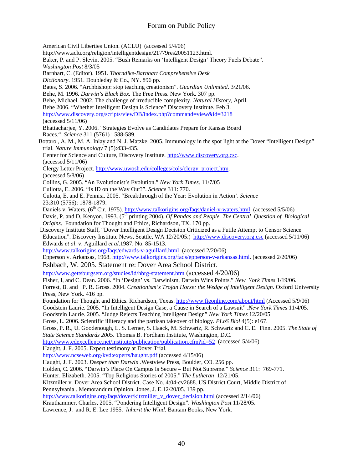#### Forum on Public Policy

American Civil Liberties Union. (ACLU)(accessed 5/4/06) http://www.aclu.org/religion/intelligentdesign/21779res20051123.html. Baker, P. and P. Slevin. 2005. "Bush Remarks on 'Intelligent Design' Theory Fuels Debate". *Washington Post* 8/3/05 Barnhart, C. (Editor). 1951. *Thorndike-Barnhart Comprehensive Desk Dictionary*. 1951. Doubleday & Co., NY. 896 pp. Bates, S. 2006. "Archbishop: stop teaching creationism". *Guardian Unlimited*. 3/21/06. Behe, M. 1996**.** *Darwin's Black Box.* The Free Press. New York. 307 pp. Behe, Michael. 2002. The challenge of irreducible complexity. *Natural History*, April. Behe 2006. "Whether Intelligent Design is Science" Discovery Institute. Feb 3. <http://www.discovery.org/scripts/viewDB/index.php?command=view&id=3218> (accessed 5/11/06) Bhattacharjee, Y. 2006. "Strategies Evolve as Candidates Prepare for Kansas Board Races." *Science* 311 (5761) : 588-589. Bottaro , A. M., M. A. Inlay and N. J. Matzke. 2005. Immunology in the spot light at the Dover "Intelligent Design" trial. *Nature Immunology* 7 (5):433-435. Center for Science and Culture, Discovery Institute. [http://www.discovery.org.csc](http://www.discovery.org.csc/). (accessed 5/11/06) Clergy Letter Project. [http://www.uwosh.edu/colleges/cols/clergy\\_project.htm.](http://www.uwosh.edu/colleges/cols/clergy_project.htm) (accessed 5/8/06) Collins, G. 2005. "An Evolutionist's Evolution." *New York Times*. 11/7/05 Cullotta, E. 2006. "Is ID on the Way Out?". *Science* 311: 770. Culotta, E. and E. Pennisi. 2005. "Breakthrough of the Year: Evolution in Action'. *Science*  23:310 (5756): 1878-1879. Daniels v. Waters, (6<sup>th</sup> Cir. 1975).<http://www.talkorigins.org/faqs/daniel-v-waters.html>. (accessed 5/5/06) Davis, P. and D, Kenyon. 1993. (5<sup>th</sup> printing 2004). *Of Pandas and People. The Central Question of Biological Origins*. Foundation for Thought and Ethics, Richardson, TX. 170 pp. Discovery Institute Staff, "Dover Intelligent Design Decision Criticized as a Futile Attempt to Censor Science Education". Discovery Institute News, Seattle, WA 12/20/05.) [http://www.discovery.org.csc](http://www.discovery.org.csc/) (accessed 5/11/06) Edwards *et al*. v. Aguillard *et al*.1987. No. 85-1513. <http://www.talkorigins.org/faqs/edwards-v-aguillard.html> (accessed 2/20/06) Epperson v. Arkansas, 1968.<http://www.talkorigins.org/faqs/epperson-v-arkansas.html>. (accessed 2/20/06) Eshbach, W. 2005. Statement re: Dover Area School District. <http://www.gettsburgsem.org/studies/id/hbrg-statement.htm> (accessed 4/20/06) Fisher, I, and C. Dean. 2006. "In 'Design' vs. Darwinism, Darwin Wins Points." *New York Times* 1/19/06. Forrest, B. and P. R. Gross. 2004. *Creationism's Trojan Horse: the Wedge of Intelligent Design*. Oxford University Press, New York. 416 pp. **F**oundation for Thought and Ethics. Richardson, Texas.<http://www.fteonline.com/about/html>(Accessed 5/9/06) Goodstein Laurie. 2005. "In Intelligent Design Case, a Cause in Search of a Lawsuit" .*New York Times* 11/4/05. Goodstein Laurie. 2005. "Judge Rejects Teaching Intelligent Design" *New York Times* 12/20/05 Gross, L. 2006. Scientific illiteracy and the partisan takeover of biology. *PLoS Biol* 4(5): e167. Gross, P. R., U. Goodenough, L. S. Lerner, S. Haack, M. Schwartz, R. Schwartz and C. E. Finn. 2005. *The State of State Science Standards 2005*. Thomas B. Fordham Institute, Washington, D.C. [http://www.edexcellence.net/institute/publication/publication.cfm?id=52.](http://www.edexcellence.net/institute/publication/publication.cfm?id=52) (accessed 5/4/06) Haught, J. F. 2005. Expert testimony at Dover Trial. <http://www.ncseweb.org/kvd:experts/haught.pdf>(accessed 4/15/06) Haught, J. F. 2003. *Deeper than Darwin* .Westview Press, Boulder, CO. 256 pp. Holden, C. 2006. "Darwin's Place On Campus Is Secure – But Not Supreme." *Science* 311: 769-771. Hunter, Elizabeth. 2005. "Top Religious Stories of 2005." *The Lutheran* 12/21/05. Kitzmiller v. Dover Area School District. Case No. 4:04-cv2688. US District Court, Middle District of Pennsylvania . Memorandum Opinion. Jones, J. E.12/20/05. 139 pp. [http://www.talkorigins.org/faqs/dover/kitzmiller\\_v\\_dover\\_decision.html](http://www.talkorigins.org/faqs/dover/kitzmiller_v_dover_decision.html) (accessed 2/14/06) Krauthammer, Charles, 2005. "Pondering Intelligent Design". *Washington Post* 11/28/05. Lawrence, J. and R. E. Lee 1955. *Inherit the Wind*. Bantam Books, New York.